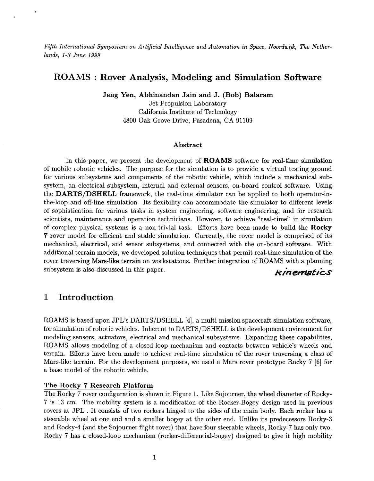*Fifth International Symposium on Artificial Intelligence and Automation in Space, Noordwijk, The Netherlands, 1-3 June 1999* 

# **ROAMS** : **Rover Analysis, Modeling and Simulation Software**

**Jeng Yen, Abhinandan Jain and J. (Bob) Balaram** 

Jet Propulsion Laboratory California Institute of Technology 4800 Oak Grove Drive, Pasadena, CA 91109

#### **Abstract**

In this paper, we present the development of **ROAMS** software for red-time simulation of mobile robotic vehicles. The purpose for the simulation is to provide a virtual testing ground for various subsystems and components of the robotic vehicle, which include a mechanical subsystem, an electrical subsystem, internal and external sensors, on-board control software. Using the **DARTS/DSHELL** framework, the real-time simulator can be applied to both operator-inthe-loop and off-line simulation. Its flexibility can accommodate the simulator to different levels of sophistication for various tasks in system engineering, software engineering, and for research scientists, maintenance and operation technicians. However, to achieve "real-time" in simulation of complex physical systems is a non-trivial task. Efforts have been made to build the **Rocky 7** rover model for efficient and stable simulation. Currently, the rover model is comprised of its mechanical, electrical, and sensor subsystems, and connected with the on-board software. With additional terrain models, we developed solution techniques that permit real-time simulation of the rover traversing Mars-like terrain on workstations. Further integration of ROAMS with a planning subsystem is also discussed in this paper. *kinematics* 

# **1 Introduction**

ROAMS is based upon JPL's DARTS/DSHELL [4], a multi-mission spacecraft simulation software, for simulation of robotic vehicles. Inherent to DARTS/DSHELL is the development environment for modeling sensors, actuators, electrical and mechanical subsystems. Expanding these capabilities, ROAMS allows modeling of a closed-loop mechanism and contacts between vehicle's wheels and terrain. Efforts have been made to achieve real-time simulation of the rover traversing a class of Mars-like terrain. For the development purposes, we used a Mars rover prototype Rocky 7 **[SI** for a base model of the robotic vehicle.

## **The Rocky 7 Research Platform**

The Rocky 7 rover configuration is shown in Figure 1. Like Sojourner, the wheel diameter of Rocky-7 is 13 cm. The mobility system is a modification of the Rocker-Bogey design used in previous rovers at JPL . It consists of two rockers hinged to the sides of the main body. Each rocker has a steerable wheel at one end and a smaller bogey at the other end. Unlike its predecessors Rocky-3 and Rocky-4 (and the Sojourner flight rover) that have four steerable wheels, Rocky-7 has only two. Rocky 7 has a closed-loop mechanism (rocker-differential-bogey) designed to give it high mobility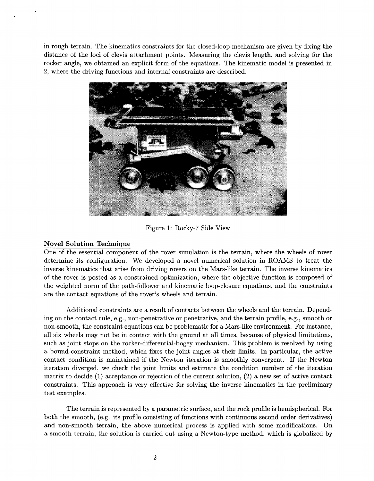in rough terrain. The kinematics constraints for the closed-loop mechanism are given by fixing the distance of the loci of clevis attachment points. Measuring the clevis length, and solving for the rocker angle, we obtained an explicit form of the equations. The kinematic model is presented in **2,** where the driving functions and internal constraints are described.



Figure 1: Rocky-7 Side View

## **Novel Solution Techniaue**

One of the essential component of the rover simulation is the terrain, where the wheels of rover determine its configuration. We developed a novel numerical solution in ROAMS to treat the inverse kinematics that arise from driving rovers on the Mars-like terrain. The inverse kinematics of the rover is posted as a constrained optimization, where the objective function is composed of the weighted norm of the path-follower and kinematic loop-closure equations, and the constraints are the contact equations of the rover's wheels and terrain.

Additional constraints are a result of contacts between the wheels and the terrain. Depending on the contact rule, e.g., non-penetrative or penetrative, and the terrain profile, e.g., smooth or non-smooth, the constraint equations can be problematic for a Mars-like environment. For instance, all six wheels may not be in contact with the ground at all times, because of physical limitations, such as joint stops on the rocker-differential-bogey mechanism. This problem is resolved by using a bound-constraint method, which fixes the joint angles at their limits. In particular, the active contact condition is maintained if the Newton iteration is smoothly convergent. If the Newton iteration diverged, we check the joint limits and estimate the condition number of the iteration matrix to decide (1) acceptance or rejection of the current solution, **(2)** a new set of active contact constraints. This approach is very effective for solving the inverse kinematics in the preliminary test examples.

The terrain is represented by a parametric surface, and the rock profile is hemispherical. For both the smooth, (e.g. its profile consisting of functions with continuous second order derivatives) and non-smooth terrain, the above numerical process is applied with some modifications. On a smooth terrain, the solution is carried out using a Newton-type method, which is globalized by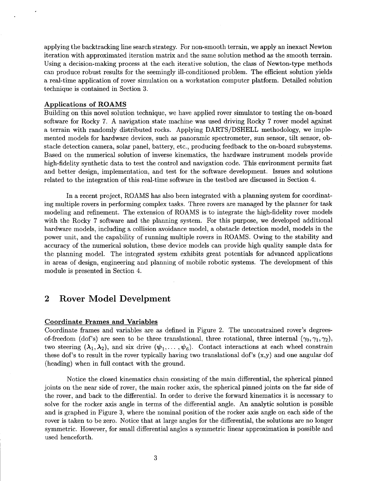applying the backtracking line search strategy. For non-smooth terrain, we apply an inexact Newton iteration with approximated iteration matrix and the same solution method as the smooth terrain. Using a decision-making process at the each iterative solution, the class of Newton-type methods can produce robust results for the seemingly ill-conditioned problem. The efficient solution yields a real-time application of rover simulation on a workstation computer platform. Detailed solution technique is contained in Section **3.** 

#### **Applications of ROAMS**

Building on this novel solution technique, we have applied rover simulator to testing the on-board software for Rocky 7. A navigation state machine was used driving Rocky 7 rover model against a terrain with randomly distributed rocks. Applying DARTS/DSHELL methodology, we implemented models for hardware devices, such as panoramic spectrometer, sun sensor, tilt sensor, obstacle detection camera, solar panel, battery, etc., producing feedback to the on-board subsystems. Based on the numerical solution of inverse kinematics, the hardware instrument models provide high-fidelity synthetic data to test the control and navigation code. This environment permits fast and better design, implementation, and test for the software development. Issues and solutions related to the integration of this real-time software in the testbed are discussed in Section 4.

In a recent project, ROAMS has also been integrated with a planning system for coordinating multiple rovers in performing complex tasks. Three rovers are managed by the planner for task modeling and refinement. The extension of ROAMS is to integrate the high-fidelity rover models with the Rocky 7 software and the planning system. For this purpose, we developed additional hardware models, including a collision avoidance model, a obstacle detection model, models in the power unit, and the capability of running multiple rovers in ROAMS. Owing to the stability and accuracy of the numerical solution, these device models can provide high quality sample data for the planning model. The integrated system exhibits great potentials for advanced applications in areas of design, engineering and planning of mobile robotic systems. The development of this module is presented in Section 4.

## **2 Rover Model Develpment**

## **Coordinate Frames and Variables**

Coordinate frames and variables are as defined in Figure **2.** The unconstrained rover's degreesof-freedom (dof's) are seen to be three translational, three rotational, three internal  $(\gamma_0, \gamma_1, \gamma_2)$ , two steering  $(\lambda_1, \lambda_2)$ , and six drive  $(\psi_1, \dots, \psi_6)$ . Contact interactions at each wheel constrain these dof's to result in the rover typically having two translational dof's (x,y) and one angular dof (heading) when in full contact with the ground.

Notice the closed kinematics chain consisting of the main differential, the spherical pinned joints on the near side of rover, the main rocker axis, the spherical pinned joints on the far side of the rover, and back to the differential. In order to derive the forward kinematics it is necessary to solve for the rocker axis angle in terms of the differential angle. An analytic solution is possible and is graphed in Figure **3,** where the nominal position of the rocker axis angle on each side of the rover is taken to be zero. Notice that at large angles for the differential, the solutions are no longer symmetric. However, for small differential angles a symmetric linear approximation is possible and used henceforth.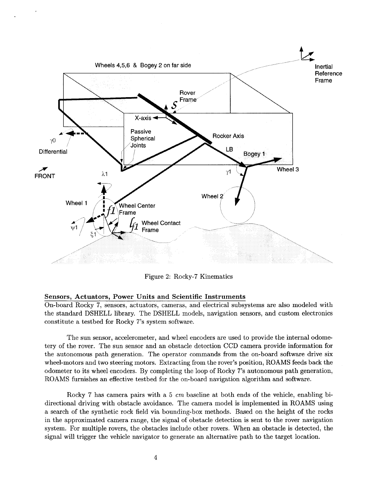

Figure **2:** Rocky-7 Kinematics

### **Sensors, Actuators, Power Units and Scientific Instruments**

On-board Rocky 7, sensors, actuators, cameras, and electrical subsystems are also modeled with the standard DSHELL library. The DSHELL models, navigation sensors, and custom electronics constitute a testbed for Rocky 7's system software.

The sun sensor, accelerometer, and wheel encoders are used to provide the internal odometery of the rover. The sun sensor and an obstacle detection CCD camera provide information for the autonomous path generation. The operator commands from the on-board software drive six wheel-motors and two steering motors. Extracting from the rover's position, ROAMS feeds back the odometer to its wheel encoders. By completing the loop of Rocky 7's autonomous path generation, ROAMS furnishes an effective testbed for the on-board navigation algorithm and software.

Rocky 7 has camera pairs with a 5 *cm* baseline at both ends of the vehicle, enabling bidirectional driving with obstacle avoidance. The camera model is implemented in ROAMS using a search of the synthetic rock field via bounding-box methods. Based on the height of the rocks in the approximated camera range, the signal of obstacle detection is sent to the rover navigation system. For multiple rovers, the obstacles include other rovers. When an obstacle is detected, the signal will trigger the vehicle navigator to generate an alternative path to the target location.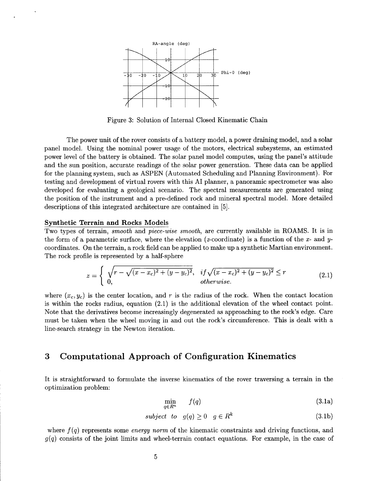

Figure **3:** Solution of Internal Closed Kinematic Chain

The power unit of the rover consists of a battery model, a power draining model, and a solar panel model. Using the nominal power usage of the motors, electrical subsystems, an estimated power level of the battery is obtained. The solar panel model computes, using the panel's attitude and the sun position, accurate readings of the solar power generation. These data can be applied for the planning system, such as ASPEN (Automated Scheduling and Planning Environment). For testing and development of virtual rovers with this AI planner, a panoramic spectrometer was also developed for evaluating a geological scenario. The spectral measurements are generated using the position of the instrument and a pre-defined rock and mineral spectral model. More detailed descriptions of this integrated architecture are contained in *[5].* 

#### **Synthetic Terrain and Rocks Models**

Two types of terrain, *smooth* and *piece-wise smooth,* are currently available in ROAMS. It is in the form of a parametric surface, where the elevation (z-coordinate) is a function of the *x-* and ycoordinates. On the terrain, arock field can be applied to make up a synthetic Martian environment. The rock profile is represented by a half-sphere

$$
z = \begin{cases} \sqrt{r - \sqrt{(x - x_c)^2 + (y - y_c)^2}}, & if \sqrt{(x - x_c)^2 + (y - y_c)^2} \le r \\ 0, & otherwise. \end{cases}
$$
(2.1)

where  $(x_c, y_c)$  is the center location, and r is the radius of the rock. When the contact location is within the rocks radius, equation (2.1) is the additional elevation of the wheel contact point. Note that the derivatives become increasingly degenerated as approaching to the rock's edge. Care must be taken when the wheel moving in and out the rock's circumference. This is dealt with a line-search strategy in the Newton iteration.

# **3 Computational Approach of Configuration Kinematics**

It is straightforward to formulate the inverse kinematics of the rover traversing a terrain in the optimization problem:

$$
\min_{q \in R^n} f(q) \tag{3.1a}
$$

$$
subject \tto \t g(q) \ge 0 \t g \in R^k \t\t(3.1b)
$$

where *f(q)* represents some *energy norm* of the kinematic constraints and driving functions, and *g(q)* consists of the joint limits and wheel-terrain contact equations. For example, in the case of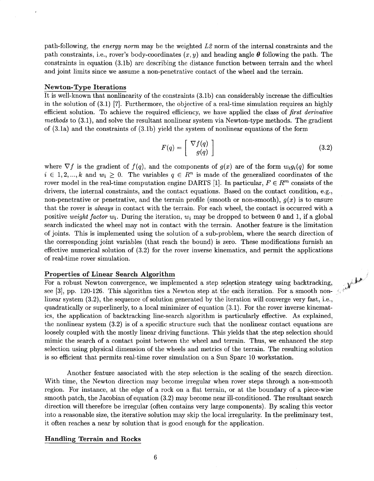path-following, the *energy norm* may be the weighted *L2* norm of the internal constraints and the path constraints, i.e., rover's body-coordinates  $(x, y)$  and heading angle  $\theta$  following the path. The constraints in equation (3.lb) are describing the distance function between terrain and the wheel and joint limits since we assume a non-penetrative contact of the wheel and the terrain.

## **Newton-Type Iterations**

It is well-known that nonlinearity of the constraints (3.lb) can considerably increase the difficulties in the solution of (3.1) *[7].* Furthermore, the objective of a real-time simulation requires an highly efficient solution. To achieve the required efficiency, we have applied the class of *first derivative methods* to (3.1), and solve the resultant nonlinear system via Newton-type methods. The gradient of (3.la) and the constraints of (3.lb) yield the system of nonlinear equations of the form

$$
F(q) = \left[ \begin{array}{c} \nabla f(q) \\ g(q) \end{array} \right] \tag{3.2}
$$

**P** 

where  $\nabla f$  is the gradient of  $f(q)$ , and the components of  $g(x)$  are of the form  $w_i g_i(q)$  for some  $i \in {1, 2, ..., k}$  and  $w_i \geq 0$ . The variables  $q \in R^n$  is made of the generalized coordinates of the rover model in the real-time computation engine DARTS [1]. In particular,  $F \in \mathbb{R}^m$  consists of the drivers, the internal constraints, and the contact equations. Based on the contact condition, e.g., non-penetrative or penetrative, and the terrain profile (smooth or non-smooth),  $q(x)$  is to ensure that the rover is *always* in contact with the terrain. For each wheel, the contact is occurred with a positive *weight factor*  $w_i$ . During the iteration,  $w_i$  may be dropped to between 0 and 1, if a global search indicated the wheel may not in contact with the terrain. Another feature is the limitation of joints. This is implemented using the solution of a sub-problem, where the search direction of the corresponding joint variables (that reach the bound) is zero. These modifications furnish an effective numerical solution of (3.2) for the rover inverse kinematics, and permit the applications of real-time rover simulation.

#### **Properties of Linear Search Algorithm**

For a robust Newton convergence, we implemented a step selection strategy using backtracking, see [3], pp. 120-126. This algorithm ties a Newton step at the each iteration. For a smooth nonlinear system (3.2), the sequence of solution generated by the iteration will converge very fast, i.e., quadratically or superlinerly, to a local minimizer of equation (3.1). For the rover inverse kinematics, the application of backtracking line-search algorithm is particularly effective. As explained, the nonlinear system (3.2) is of a specific structure such that the nonlinear contact equations are loosely coupled with the mostly linear driving functions. This yields that the step selection should mimic the search of a contact point between the wheel and terrain. Thus, we enhanced the step selection using physical dimension of the wheels and metrics of the terrain. The resulting solution is so efficient that permits real-time rover simulation on a Sun Sparc 10 workstation.

Another feature associated with the step selection is the scaling of the search direction. With time, the Newton direction may become irregular when rover steps through a non-smooth region. For instance, at the edge of a rock on a flat terrain, or at the boundary of a piece-wise smooth patch, the Jacobian of equation (3.2) may become near ill-conditioned. The resultant search direction will therefore be irregular (often contains very large components). By scaling this vector into a reasonable size, the iterative solution may skip the local irregularity. In the preliminary test, it often reaches a near by solution that is good enough for the application.

## **Handling Terrain and Rocks**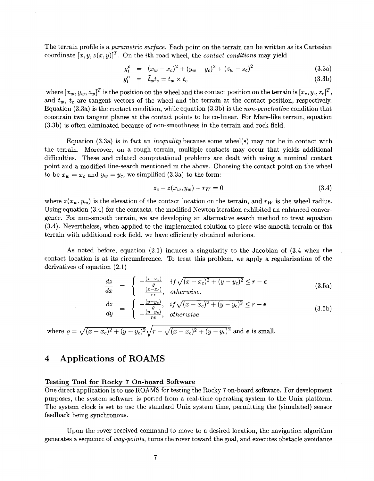The terrain profile is a *parametric surface.* Each point on the terrain can be written as its Cartesian coordinate  $[x, y, z(x, y)]^T$ . On the *i*th road wheel, the *contact conditions* may yield

$$
g_i^c = (x_w - x_c)^2 + (y_w - y_c)^2 + (z_w - z_c)^2
$$
 (3.3a)

$$
g_i^n = \tilde{t}_w t_c = t_w \times t_c \tag{3.3b}
$$

where  $[x_w, y_w, z_w]^T$  is the position on the wheel and the contact position on the terrain is  $[x_c, y_c, z_c]^T$ , and  $t<sub>w</sub>$ ,  $t<sub>c</sub>$  are tangent vectors of the wheel and the terrain at the contact position, respectively. Equation (3.3a) is the contact condition, while equation (3.3b) is the *non-penetrative* condition that constrain two tangent planes at the contact points to be co-linear. For Mars-like terrain, equation (3.3b) is often eliminated because of non-smoothness in the terrain and rock field.

Equation (3.3a) is in fact an *inequality* because some wheel(s) may not be in contact with the terrain. Moreover, on a rough terrain, multiple contacts may occur that yields additional difficulties. These and related computational problems are dealt with using a nominal contact point and a modified line-search mentioned in the above. Choosing the contact point on the wheel to be  $x_w = x_c$  and  $y_w = y_c$ , we simplified (3.3a) to the form:

$$
z_c - z(x_w, y_w) - r_W = 0
$$
\n(3.4)

where  $z(x_w, y_w)$  is the elevation of the contact location on the terrain, and  $r_w$  is the wheel radius. Using equation (3.4) for the contacts, the modified Newton iteration exhibited an enhanced convergence. For non-smooth terrain, we are developing an alternative search method to treat equation (3.4). Nevertheless, when applied to the implemented solution to piece-wise smooth terrain or flat terrain with additional rock field, we have efficiently obtained solutions.

As noted before, equation **(2.1)** induces a singularity to the Jacobian of (3.4 when the contact location is at its circumference. To treat this problem, we apply a regularization of the derivatives of equation **(2.1)**  fore, equation (2.1) induces a singularity to the Jacob<br> *dx* its circumference. To treat this problem, we apply a<br>
on (2.1)<br>  $\frac{dz}{dx} = \begin{cases} -\frac{(x-x_c)}{\varrho} & if \sqrt{(x-x_c)^2 + (y-y_c)^2} \le r - \epsilon \\ -\frac{(x-x_c)}{\varrho} & otherwise. \end{cases}$ 

$$
\frac{dz}{dx} = \begin{cases}\n-\frac{(x-x_c)}{\varrho} & if \sqrt{(x-x_c)^2 + (y-y_c)^2} \le r - \epsilon \\
-\frac{(x-x_c)}{r\epsilon}, & otherwise.\n\end{cases}
$$
\n(3.5a)

$$
\frac{dx}{dy} = \begin{cases}\n-\frac{(x-x_c)}{r\epsilon}, & otherwise. \\
\frac{dz}{dy} = \begin{cases}\n-\frac{(y-y_c)}{\epsilon}, & if \sqrt{(x-x_c)^2 + (y-y_c)^2} \le r - \epsilon \\
-\frac{(y-y_c)}{r\epsilon}, & otherwise.\n\end{cases}
$$
\n(3.5b)

where  $\rho = \sqrt{(x - x_c)^2 + (y - y_c)^2} \sqrt{r - \sqrt{(x - x_c)^2 + (y - y_c)^2}}$  and  $\epsilon$  is small.

# **4 Applications of ROAMS**

## **Testing Tool for Rocky 7 On-board Software**

One direct application is to use ROAMS for testing the Rocky 7 on-board software. For development purposes, the system software is ported from a real-time operating system to the Unix platform. The system clock is set to use the standard Unix system time, permitting the (simulated) sensor feedback being synchronous.

Upon the rover received command to move to a desired location, the navigation algorithm generates a sequence of *way-points,* turns the rover toward the goal, and executes obstacle avoidance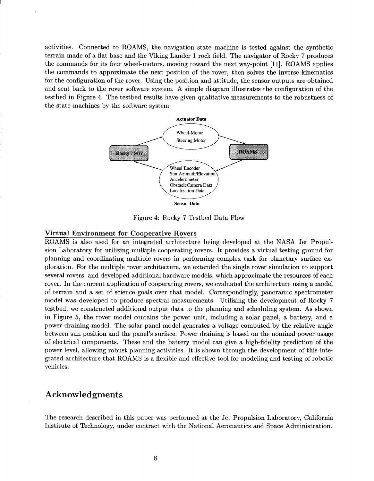activities. Connected to ROAMS, the navigation state machine is tested against the synthetic terrain made of a flat base and the Viking Lander 1 rock field. The navigator of Rocky 7 produces the commands for its four wheel-motors, moving toward the next way-point [ll]. ROAMS applies the commands to approximate the next position of the rover, then solves the inverse kinematics for the configuration of the rover. Using the position and attitude, the sensor outputs are obtained and sent back to the rover software system. A simple diagram illustrates the configuration of the testbed in Figure 4. The testbed results have given qualitative measurements to the robustness of the state machines by the software system.



Figure 4: Rocky 7 Testbed Data Flow

### **Virtual Environment for Cooperative Rovers**

ROAMS is also used for an integrated architecture being developed at the **NASA** Jet Propulsion Laboratory for utilizing multiple cooperating rovers. It provides a virtual testing ground for planning and coordinating multiple rovers in performing complex task for planetary surface exploration. For the multiple rover architecture, we extended the single rover simulation to support several rovers, and developed additional hardware models, which approximate the resources of each rover. In the current application of cooperating rovers, we evaluated the architecture using a model of terrain and a set of science goals over that model. Correspondingly, panoramic spectrometer model was developed to produce spectral measurements. Utilizing the development of Rocky 7 testbed, we constructed additional output data to the planning and scheduling system. As shown in Figure *5,* the rover model contains the power unit, including a solar panel, a battery, and a power draining model. The solar panel model generates a voltage computed by the relative angle between sun position and the panel's surface. Power draining is based on the nominal power usage of electrical components. These and the battery model can give a high-fidelity prediction of the power level, allowing robust planning activities. It is shown through the development of this integrated architecture that ROAMS is a flexible and effective tool for modeling and testing of robotic vehicles.

# **Acknowledgments**

The research described in this paper was performed at the Jet Propulsion Laboratory, California Institute of Technology, under contract with the National Aeronautics and Space Administration.